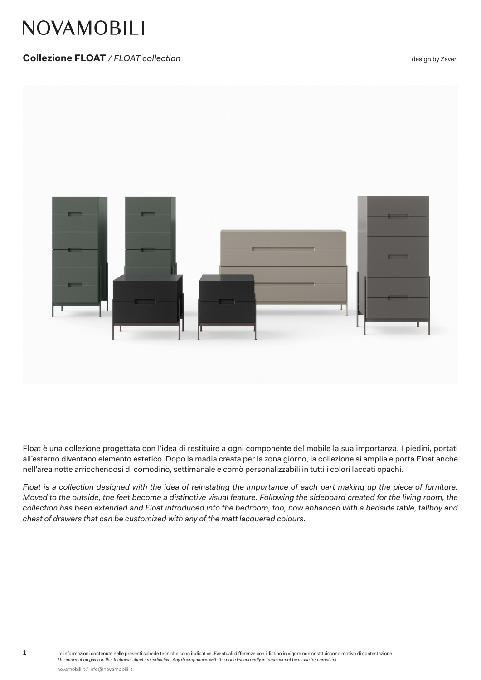# **NOVAMOBILI**

## **Collezione FLOAT** / FLOAT collection *Collection also a control of the state of the state of the state of the state of the state of the state of the state of the state of the state of the state of the state of the st*



Float è una collezione progettata con l'idea di restituire a ogni componente del mobile la sua importanza. I piedini, portati all'esterno diventano elemento estetico. Dopo la madia creata per la zona giorno, la collezione si amplia e porta Float anche nell'area notte arricchendosi di comodino, settimanale e comò personalizzabili in tutti i colori laccati opachi.

*Float is a collection designed with the idea of reinstating the importance of each part making up the piece of furniture. Moved to the outside, the feet become a distinctive visual feature. Following the sideboard created for the living room, the collection has been extended and Float introduced into the bedroom, too, now enhanced with a bedside table, tallboy and chest of drawers that can be customized with any of the matt lacquered colours.*

1 Le informazioni contenute nelle presenti schede tecniche sono indicative. Eventuali differenze con il listino in vigore non costituiscono motivo di contestazione. *The information given in this technical sheet are indicative. Any discrepancies with the price list currently in force cannot be cause for complaint.*

novamobili.it / info@novamobili.it